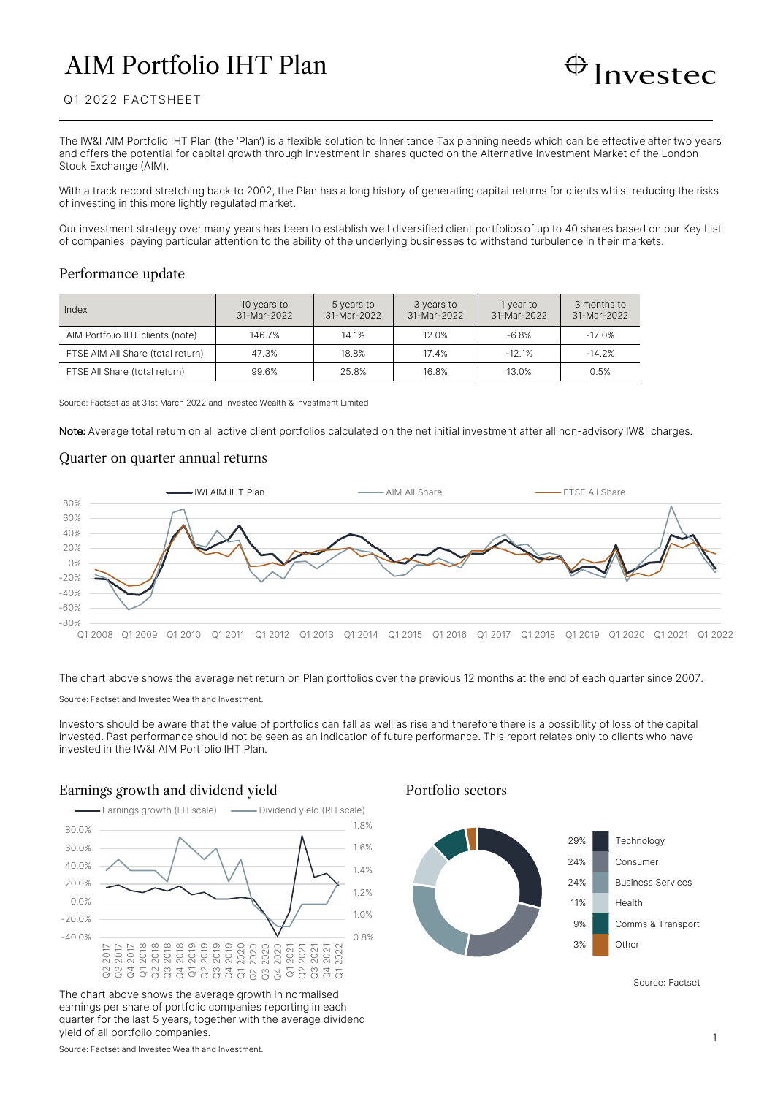# AIM Portfolio IHT Plan



# Q1 2022 FACTSHEET

The IW&I AIM Portfolio IHT Plan (the 'Plan') is a flexible solution to Inheritance Tax planning needs which can be effective after two years and offers the potential for capital growth through investment in shares quoted on the Alternative Investment Market of the London Stock Exchange (AIM).

With a track record stretching back to 2002, the Plan has a long history of generating capital returns for clients whilst reducing the risks of investing in this more lightly regulated market.

Our investment strategy over many years has been to establish well diversified client portfolios of up to 40 shares based on our Key List of companies, paying particular attention to the ability of the underlying businesses to withstand turbulence in their markets.

#### Performance update

| Index                             | 10 years to<br>31-Mar-2022 | 5 years to<br>31-Mar-2022 | 3 years to<br>31-Mar-2022 | 1 year to<br>31-Mar-2022 | 3 months to<br>31-Mar-2022 |
|-----------------------------------|----------------------------|---------------------------|---------------------------|--------------------------|----------------------------|
| AIM Portfolio IHT clients (note)  | 146.7%                     | 14.1%                     | 12.0%                     | $-6.8%$                  | $-17.0%$                   |
| FTSE AIM All Share (total return) | 47.3%                      | 18.8%                     | 17.4%                     | $-12.1%$                 | $-14.2%$                   |
| FTSE All Share (total return)     | 99.6%                      | 25.8%                     | 16.8%                     | 13.0%                    | 0.5%                       |

Source: Factset as at 31st March 2022 and Investec Wealth & Investment Limited

Note: Average total return on all active client portfolios calculated on the net initial investment after all non-advisory IW&I charges.

## Quarter on quarter annual returns



The chart above shows the average net return on Plan portfolios over the previous 12 months at the end of each quarter since 2007.

Source: Factset and Investec Wealth and Investment.

Investors should be aware that the value of portfolios can fall as well as rise and therefore there is a possibility of loss of the capital invested. Past performance should not be seen as an indication of future performance. This report relates only to clients who have invested in the IW&I AIM Portfolio IHT Plan.

# Earnings growth and dividend yield Portfolio sectors



The chart above shows the average growth in normalised earnings per share of portfolio companies reporting in each quarter for the last 5 years, together with the average dividend yield of all portfolio companies.



Source: Factset

Source: Factset and Investec Wealth and Investment.